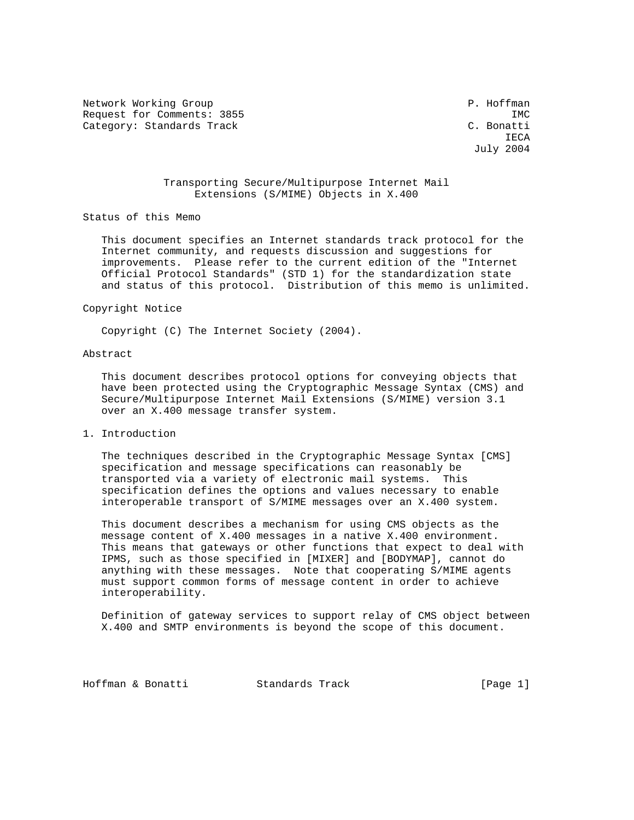Network Working Group **P. Hoffman** Request for Comments: 3855 IMC Category: Standards Track C. Bonatti

**IECA** July 2004

# Transporting Secure/Multipurpose Internet Mail Extensions (S/MIME) Objects in X.400

Status of this Memo

 This document specifies an Internet standards track protocol for the Internet community, and requests discussion and suggestions for improvements. Please refer to the current edition of the "Internet Official Protocol Standards" (STD 1) for the standardization state and status of this protocol. Distribution of this memo is unlimited.

#### Copyright Notice

Copyright (C) The Internet Society (2004).

### Abstract

 This document describes protocol options for conveying objects that have been protected using the Cryptographic Message Syntax (CMS) and Secure/Multipurpose Internet Mail Extensions (S/MIME) version 3.1 over an X.400 message transfer system.

1. Introduction

 The techniques described in the Cryptographic Message Syntax [CMS] specification and message specifications can reasonably be transported via a variety of electronic mail systems. This specification defines the options and values necessary to enable interoperable transport of S/MIME messages over an X.400 system.

 This document describes a mechanism for using CMS objects as the message content of X.400 messages in a native X.400 environment. This means that gateways or other functions that expect to deal with IPMS, such as those specified in [MIXER] and [BODYMAP], cannot do anything with these messages. Note that cooperating S/MIME agents must support common forms of message content in order to achieve interoperability.

 Definition of gateway services to support relay of CMS object between X.400 and SMTP environments is beyond the scope of this document.

Hoffman & Bonatti Standards Track [Page 1]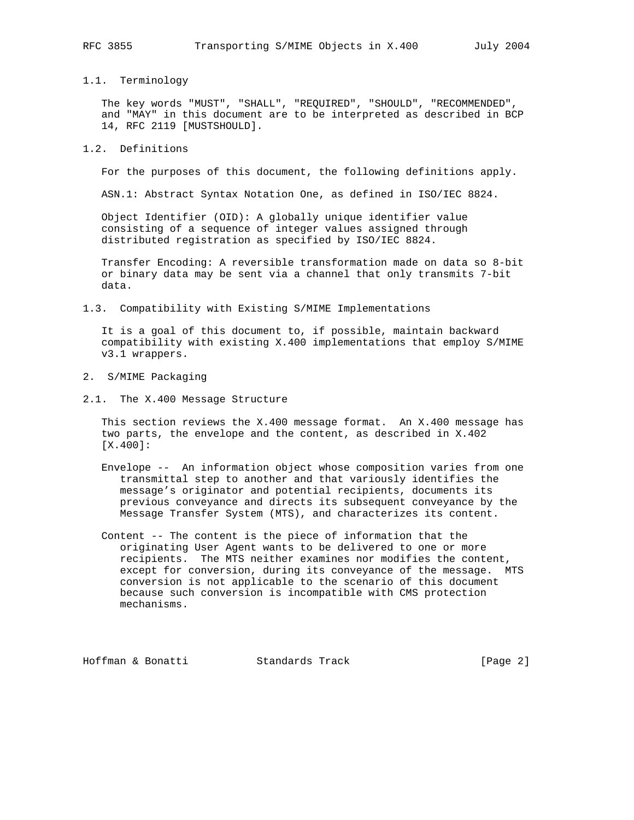# 1.1. Terminology

 The key words "MUST", "SHALL", "REQUIRED", "SHOULD", "RECOMMENDED", and "MAY" in this document are to be interpreted as described in BCP 14, RFC 2119 [MUSTSHOULD].

### 1.2. Definitions

For the purposes of this document, the following definitions apply.

ASN.1: Abstract Syntax Notation One, as defined in ISO/IEC 8824.

 Object Identifier (OID): A globally unique identifier value consisting of a sequence of integer values assigned through distributed registration as specified by ISO/IEC 8824.

 Transfer Encoding: A reversible transformation made on data so 8-bit or binary data may be sent via a channel that only transmits 7-bit data.

1.3. Compatibility with Existing S/MIME Implementations

 It is a goal of this document to, if possible, maintain backward compatibility with existing X.400 implementations that employ S/MIME v3.1 wrappers.

- 2. S/MIME Packaging
- 2.1. The X.400 Message Structure

 This section reviews the X.400 message format. An X.400 message has two parts, the envelope and the content, as described in X.402 [X.400]:

- Envelope -- An information object whose composition varies from one transmittal step to another and that variously identifies the message's originator and potential recipients, documents its previous conveyance and directs its subsequent conveyance by the Message Transfer System (MTS), and characterizes its content.
- Content -- The content is the piece of information that the originating User Agent wants to be delivered to one or more recipients. The MTS neither examines nor modifies the content, except for conversion, during its conveyance of the message. MTS conversion is not applicable to the scenario of this document because such conversion is incompatible with CMS protection mechanisms.

Hoffman & Bonatti Standards Track [Page 2]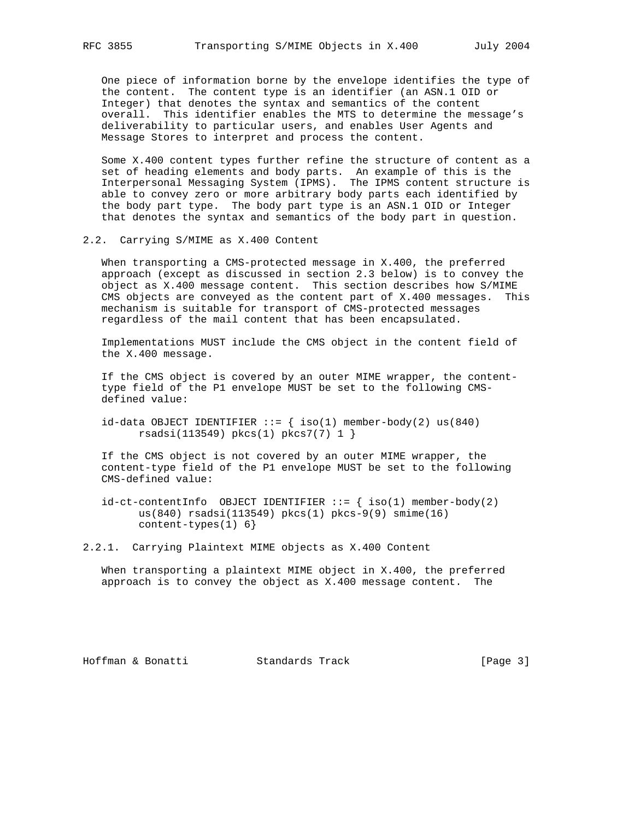One piece of information borne by the envelope identifies the type of the content. The content type is an identifier (an ASN.1 OID or Integer) that denotes the syntax and semantics of the content overall. This identifier enables the MTS to determine the message's deliverability to particular users, and enables User Agents and Message Stores to interpret and process the content.

 Some X.400 content types further refine the structure of content as a set of heading elements and body parts. An example of this is the Interpersonal Messaging System (IPMS). The IPMS content structure is able to convey zero or more arbitrary body parts each identified by the body part type. The body part type is an ASN.1 OID or Integer that denotes the syntax and semantics of the body part in question.

2.2. Carrying S/MIME as X.400 Content

 When transporting a CMS-protected message in X.400, the preferred approach (except as discussed in section 2.3 below) is to convey the object as X.400 message content. This section describes how S/MIME CMS objects are conveyed as the content part of X.400 messages. This mechanism is suitable for transport of CMS-protected messages regardless of the mail content that has been encapsulated.

 Implementations MUST include the CMS object in the content field of the X.400 message.

 If the CMS object is covered by an outer MIME wrapper, the content type field of the P1 envelope MUST be set to the following CMS defined value:

 $id$ -data OBJECT IDENTIFIER ::= { iso(1) member-body(2) us(840) rsadsi(113549) pkcs(1) pkcs7(7) 1 }

 If the CMS object is not covered by an outer MIME wrapper, the content-type field of the P1 envelope MUST be set to the following CMS-defined value:

 $id-ct-contentInfo$  OBJECT IDENTIFIER  $::=$  {  $iso(1)$  member-body(2) us(840) rsadsi(113549) pkcs(1) pkcs-9(9) smime(16) content-types(1) 6}

2.2.1. Carrying Plaintext MIME objects as X.400 Content

 When transporting a plaintext MIME object in X.400, the preferred approach is to convey the object as X.400 message content. The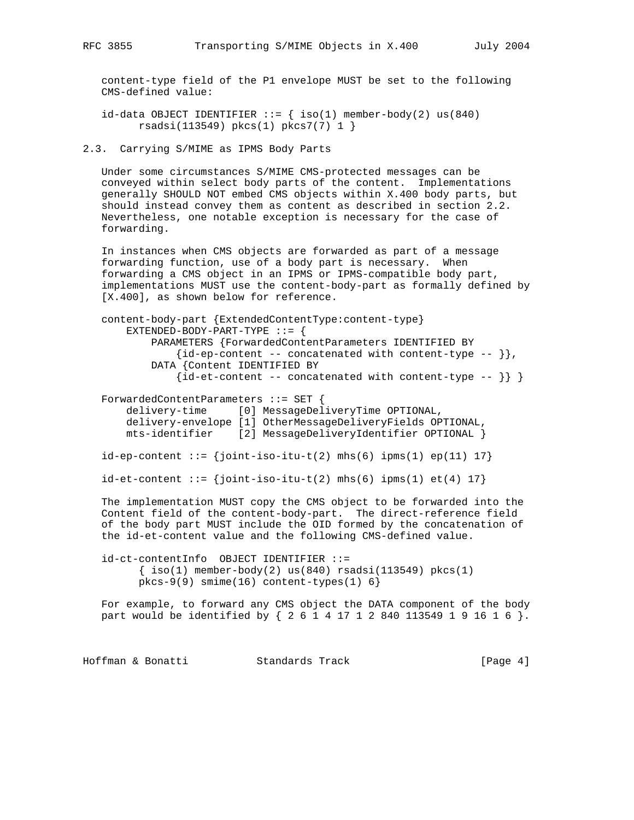content-type field of the P1 envelope MUST be set to the following CMS-defined value:

id-data OBJECT IDENTIFIER  $::=$  { iso(1) member-body(2) us(840) rsadsi(113549) pkcs(1) pkcs7(7) 1 }

2.3. Carrying S/MIME as IPMS Body Parts

 Under some circumstances S/MIME CMS-protected messages can be conveyed within select body parts of the content. Implementations generally SHOULD NOT embed CMS objects within X.400 body parts, but should instead convey them as content as described in section 2.2. Nevertheless, one notable exception is necessary for the case of forwarding.

 In instances when CMS objects are forwarded as part of a message forwarding function, use of a body part is necessary. When forwarding a CMS object in an IPMS or IPMS-compatible body part, implementations MUST use the content-body-part as formally defined by [X.400], as shown below for reference.

```
 content-body-part {ExtendedContentType:content-type}
 EXTENDED-BODY-PART-TYPE ::= {
      PARAMETERS {ForwardedContentParameters IDENTIFIED BY
         \{id-ep-content -- concatenated with content-type -- \},
      DATA {Content IDENTIFIED BY
         \{id-et-content -- concatenated with content-type -- \} ForwardedContentParameters ::= SET {
```
 delivery-time [0] MessageDeliveryTime OPTIONAL, delivery-envelope [1] OtherMessageDeliveryFields OPTIONAL, mts-identifier [2] MessageDeliveryIdentifier OPTIONAL }

 $id-ep-content ::= {joint-iso-itu-t(2) mhs(6) ipms(1) ep(11) 17}$ 

 $id-et-content ::= {joint-iso-itu-t(2) mhs(6) ipms(1) et(4) 17}$ 

 The implementation MUST copy the CMS object to be forwarded into the Content field of the content-body-part. The direct-reference field of the body part MUST include the OID formed by the concatenation of the id-et-content value and the following CMS-defined value.

 id-ct-contentInfo OBJECT IDENTIFIER ::=  $\{ iso(1)$  member-body(2) us(840) rsadsi(113549) pkcs(1)  $pkcs-9(9)$  smime $(16)$  content-types $(1) 6$ }

 For example, to forward any CMS object the DATA component of the body part would be identified by { 2 6 1 4 17 1 2 840 113549 1 9 16 1 6 }.

Hoffman & Bonatti Standards Track [Page 4]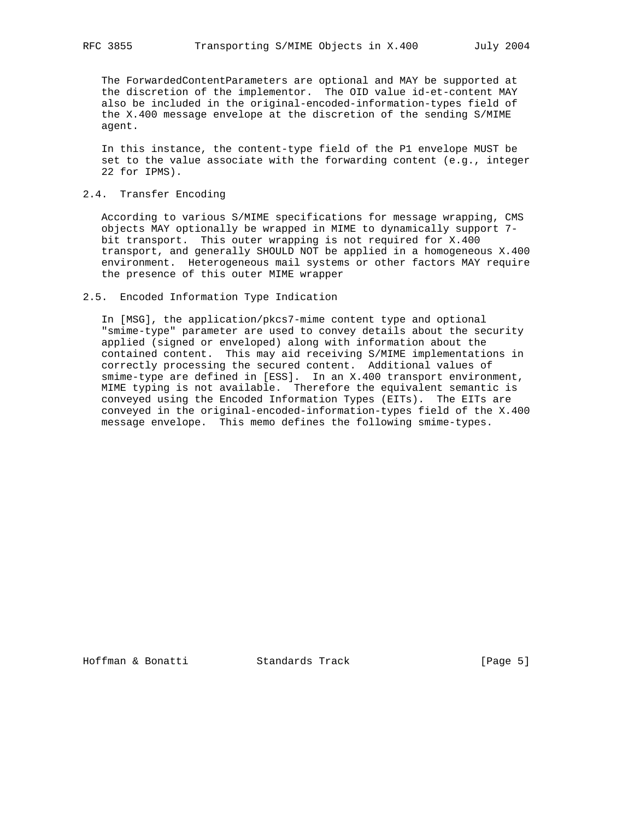The ForwardedContentParameters are optional and MAY be supported at the discretion of the implementor. The OID value id-et-content MAY also be included in the original-encoded-information-types field of the X.400 message envelope at the discretion of the sending S/MIME agent.

 In this instance, the content-type field of the P1 envelope MUST be set to the value associate with the forwarding content (e.g., integer 22 for IPMS).

# 2.4. Transfer Encoding

 According to various S/MIME specifications for message wrapping, CMS objects MAY optionally be wrapped in MIME to dynamically support 7 bit transport. This outer wrapping is not required for X.400 transport, and generally SHOULD NOT be applied in a homogeneous X.400 environment. Heterogeneous mail systems or other factors MAY require the presence of this outer MIME wrapper

### 2.5. Encoded Information Type Indication

 In [MSG], the application/pkcs7-mime content type and optional "smime-type" parameter are used to convey details about the security applied (signed or enveloped) along with information about the contained content. This may aid receiving S/MIME implementations in correctly processing the secured content. Additional values of smime-type are defined in [ESS]. In an X.400 transport environment, MIME typing is not available. Therefore the equivalent semantic is conveyed using the Encoded Information Types (EITs). The EITs are conveyed in the original-encoded-information-types field of the X.400 message envelope. This memo defines the following smime-types.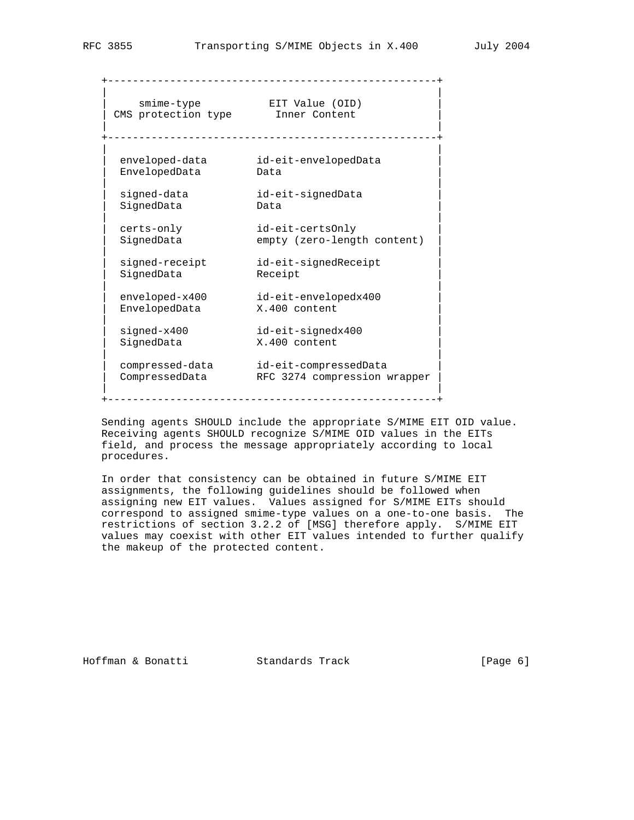| smime-type<br>CMS protection type | EIT Value (OID)<br>Inner Content<br>________________ |
|-----------------------------------|------------------------------------------------------|
| enveloped-data                    | id-eit-envelopedData                                 |
| EnvelopedData                     | Data                                                 |
| signed-data                       | id-eit-signedData                                    |
| SignedData                        | Data                                                 |
| certs-only                        | id-eit-certsOnly                                     |
| SignedData                        | empty (zero-length content)                          |
| signed-receipt                    | id-eit-signedReceipt                                 |
| SignedData                        | Receipt                                              |
| enveloped-x400                    | id-eit-envelopedx400                                 |
| EnvelopedData                     | X.400 content                                        |
| signed-x400                       | id-eit-signedx400                                    |
| SignedData                        | X.400 content                                        |
| compressed-data                   | id-eit-compressedData                                |
| CompressedData                    | RFC 3274 compression wrapper                         |

+-----------------------------------------------------+

 Sending agents SHOULD include the appropriate S/MIME EIT OID value. Receiving agents SHOULD recognize S/MIME OID values in the EITs field, and process the message appropriately according to local procedures.

 In order that consistency can be obtained in future S/MIME EIT assignments, the following guidelines should be followed when assigning new EIT values. Values assigned for S/MIME EITs should correspond to assigned smime-type values on a one-to-one basis. The restrictions of section 3.2.2 of [MSG] therefore apply. S/MIME EIT values may coexist with other EIT values intended to further qualify the makeup of the protected content.

Hoffman & Bonatti Standards Track [Page 6]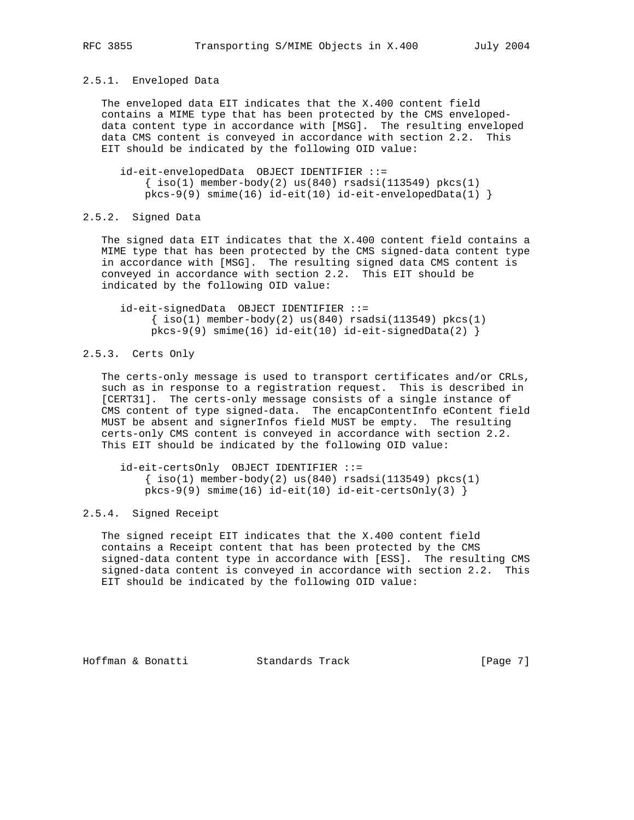# 2.5.1. Enveloped Data

 The enveloped data EIT indicates that the X.400 content field contains a MIME type that has been protected by the CMS enveloped data content type in accordance with [MSG]. The resulting enveloped data CMS content is conveyed in accordance with section 2.2. This EIT should be indicated by the following OID value:

 id-eit-envelopedData OBJECT IDENTIFIER ::=  $\{ iso(1)$  member-body(2) us(840) rsadsi(113549) pkcs(1)  $pkcs-9(9)$  smime(16) id-eit(10) id-eit-envelopedData(1) }

### 2.5.2. Signed Data

 The signed data EIT indicates that the X.400 content field contains a MIME type that has been protected by the CMS signed-data content type in accordance with [MSG]. The resulting signed data CMS content is conveyed in accordance with section 2.2. This EIT should be indicated by the following OID value:

 id-eit-signedData OBJECT IDENTIFIER ::=  $\{ iso(1)$  member-body(2) us(840) rsadsi(113549) pkcs(1)  $pkcs-9(9)$  smime(16) id-eit(10) id-eit-signedData(2) }

# 2.5.3. Certs Only

 The certs-only message is used to transport certificates and/or CRLs, such as in response to a registration request. This is described in [CERT31]. The certs-only message consists of a single instance of CMS content of type signed-data. The encapContentInfo eContent field MUST be absent and signerInfos field MUST be empty. The resulting certs-only CMS content is conveyed in accordance with section 2.2. This EIT should be indicated by the following OID value:

 id-eit-certsOnly OBJECT IDENTIFIER ::=  $\{\text{iso}(1) \text{ member-body}(2) \text{ us}(840) \text{ rsadsi}(113549) \text{ pkcs}(1)$  $pkcs-9(9)$  smime(16) id-eit(10) id-eit-certsOnly(3) }

### 2.5.4. Signed Receipt

 The signed receipt EIT indicates that the X.400 content field contains a Receipt content that has been protected by the CMS signed-data content type in accordance with [ESS]. The resulting CMS signed-data content is conveyed in accordance with section 2.2. This EIT should be indicated by the following OID value:

Hoffman & Bonatti Standards Track [Page 7]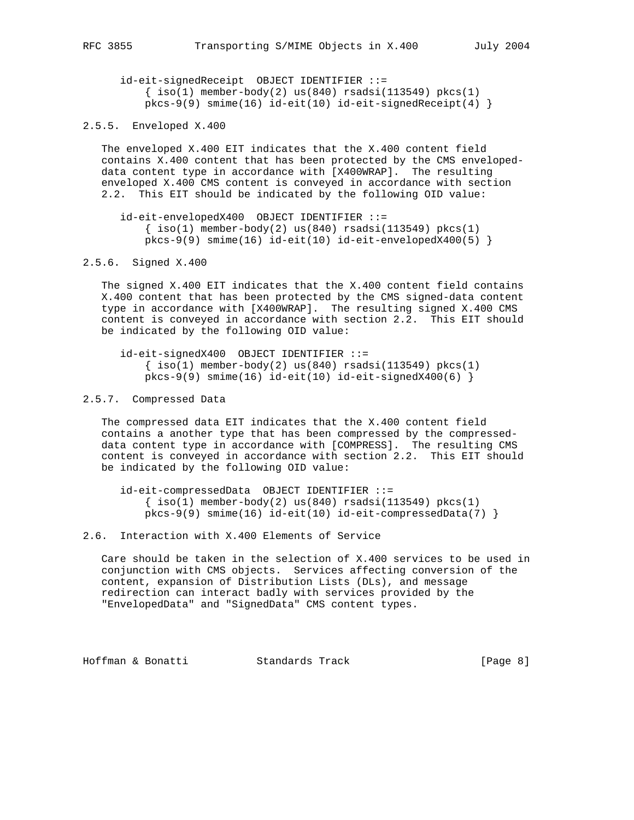id-eit-signedReceipt OBJECT IDENTIFIER ::=  $\{ iso(1)$  member-body(2) us(840) rsadsi(113549) pkcs(1)  $pkcs-9(9)$  smime(16) id-eit(10) id-eit-signedReceipt(4) }

2.5.5. Enveloped X.400

 The enveloped X.400 EIT indicates that the X.400 content field contains X.400 content that has been protected by the CMS enveloped data content type in accordance with [X400WRAP]. The resulting enveloped X.400 CMS content is conveyed in accordance with section 2.2. This EIT should be indicated by the following OID value:

```
 id-eit-envelopedX400 OBJECT IDENTIFIER ::=
 \{ iso(1) member-body(2) us(840) rsadsi(113549) pkcs(1)
pkcs-9(9) smime(16) id-eit(10) id-eit-envelopedX400(5) }
```
2.5.6. Signed X.400

 The signed X.400 EIT indicates that the X.400 content field contains X.400 content that has been protected by the CMS signed-data content type in accordance with [X400WRAP]. The resulting signed X.400 CMS content is conveyed in accordance with section 2.2. This EIT should be indicated by the following OID value:

```
 id-eit-signedX400 OBJECT IDENTIFIER ::=
 \{ iso(1) member-body(2) us(840) rsadsi(113549) pkcs(1)
pkcs-9(9) smime(16) id-eit(10) id-eit-signedX400(6) }
```
## 2.5.7. Compressed Data

 The compressed data EIT indicates that the X.400 content field contains a another type that has been compressed by the compressed data content type in accordance with [COMPRESS]. The resulting CMS content is conveyed in accordance with section 2.2. This EIT should be indicated by the following OID value:

 id-eit-compressedData OBJECT IDENTIFIER ::=  $\{ iso(1)$  member-body(2) us(840) rsadsi(113549) pkcs(1)  $pkcs-9(9)$  smime(16)  $id-eit(10)$  id-eit-compressedData(7) }

2.6. Interaction with X.400 Elements of Service

 Care should be taken in the selection of X.400 services to be used in conjunction with CMS objects. Services affecting conversion of the content, expansion of Distribution Lists (DLs), and message redirection can interact badly with services provided by the "EnvelopedData" and "SignedData" CMS content types.

Hoffman & Bonatti Standards Track [Page 8]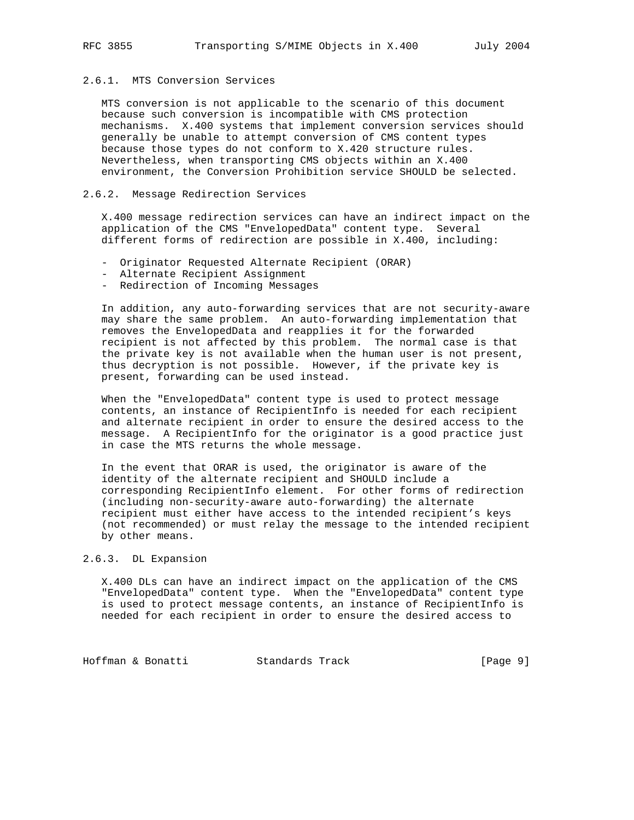# 2.6.1. MTS Conversion Services

 MTS conversion is not applicable to the scenario of this document because such conversion is incompatible with CMS protection mechanisms. X.400 systems that implement conversion services should generally be unable to attempt conversion of CMS content types because those types do not conform to X.420 structure rules. Nevertheless, when transporting CMS objects within an X.400 environment, the Conversion Prohibition service SHOULD be selected.

# 2.6.2. Message Redirection Services

 X.400 message redirection services can have an indirect impact on the application of the CMS "EnvelopedData" content type. Several different forms of redirection are possible in X.400, including:

- Originator Requested Alternate Recipient (ORAR)
- Alternate Recipient Assignment
- Redirection of Incoming Messages

 In addition, any auto-forwarding services that are not security-aware may share the same problem. An auto-forwarding implementation that removes the EnvelopedData and reapplies it for the forwarded recipient is not affected by this problem. The normal case is that the private key is not available when the human user is not present, thus decryption is not possible. However, if the private key is present, forwarding can be used instead.

 When the "EnvelopedData" content type is used to protect message contents, an instance of RecipientInfo is needed for each recipient and alternate recipient in order to ensure the desired access to the message. A RecipientInfo for the originator is a good practice just in case the MTS returns the whole message.

 In the event that ORAR is used, the originator is aware of the identity of the alternate recipient and SHOULD include a corresponding RecipientInfo element. For other forms of redirection (including non-security-aware auto-forwarding) the alternate recipient must either have access to the intended recipient's keys (not recommended) or must relay the message to the intended recipient by other means.

# 2.6.3. DL Expansion

 X.400 DLs can have an indirect impact on the application of the CMS "EnvelopedData" content type. When the "EnvelopedData" content type is used to protect message contents, an instance of RecipientInfo is needed for each recipient in order to ensure the desired access to

Hoffman & Bonatti Standards Track [Page 9]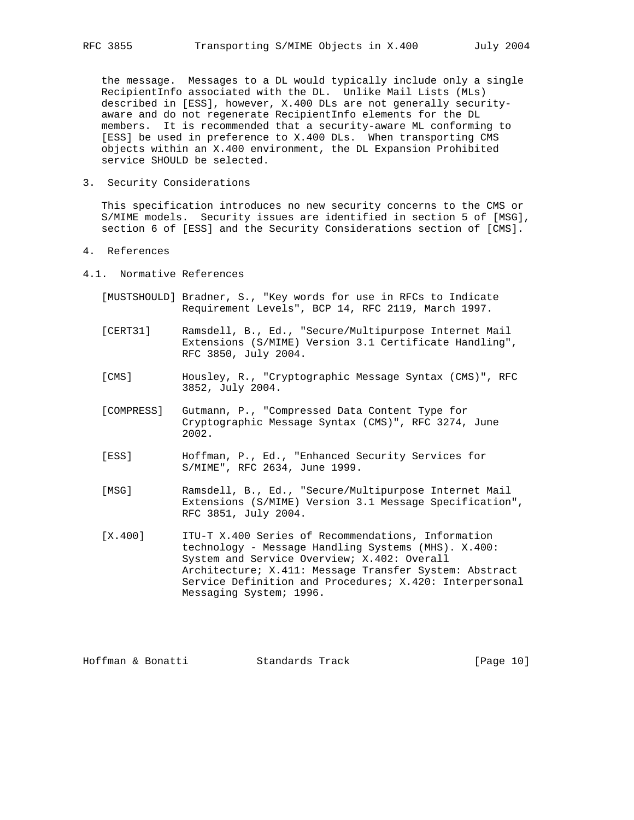the message. Messages to a DL would typically include only a single RecipientInfo associated with the DL. Unlike Mail Lists (MLs) described in [ESS], however, X.400 DLs are not generally security aware and do not regenerate RecipientInfo elements for the DL members. It is recommended that a security-aware ML conforming to [ESS] be used in preference to X.400 DLs. When transporting CMS objects within an X.400 environment, the DL Expansion Prohibited service SHOULD be selected.

3. Security Considerations

 This specification introduces no new security concerns to the CMS or S/MIME models. Security issues are identified in section 5 of [MSG], section 6 of [ESS] and the Security Considerations section of [CMS].

- 4. References
- 4.1. Normative References
	- [MUSTSHOULD] Bradner, S., "Key words for use in RFCs to Indicate Requirement Levels", BCP 14, RFC 2119, March 1997.
	- [CERT31] Ramsdell, B., Ed., "Secure/Multipurpose Internet Mail Extensions (S/MIME) Version 3.1 Certificate Handling", RFC 3850, July 2004.
	- [CMS] Housley, R., "Cryptographic Message Syntax (CMS)", RFC 3852, July 2004.
	- [COMPRESS] Gutmann, P., "Compressed Data Content Type for Cryptographic Message Syntax (CMS)", RFC 3274, June 2002.
	- [ESS] Hoffman, P., Ed., "Enhanced Security Services for S/MIME", RFC 2634, June 1999.
	- [MSG] Ramsdell, B., Ed., "Secure/Multipurpose Internet Mail Extensions (S/MIME) Version 3.1 Message Specification", RFC 3851, July 2004.
	- [X.400] ITU-T X.400 Series of Recommendations, Information technology - Message Handling Systems (MHS). X.400: System and Service Overview; X.402: Overall Architecture; X.411: Message Transfer System: Abstract Service Definition and Procedures; X.420: Interpersonal Messaging System; 1996.

Hoffman & Bonatti Standards Track [Page 10]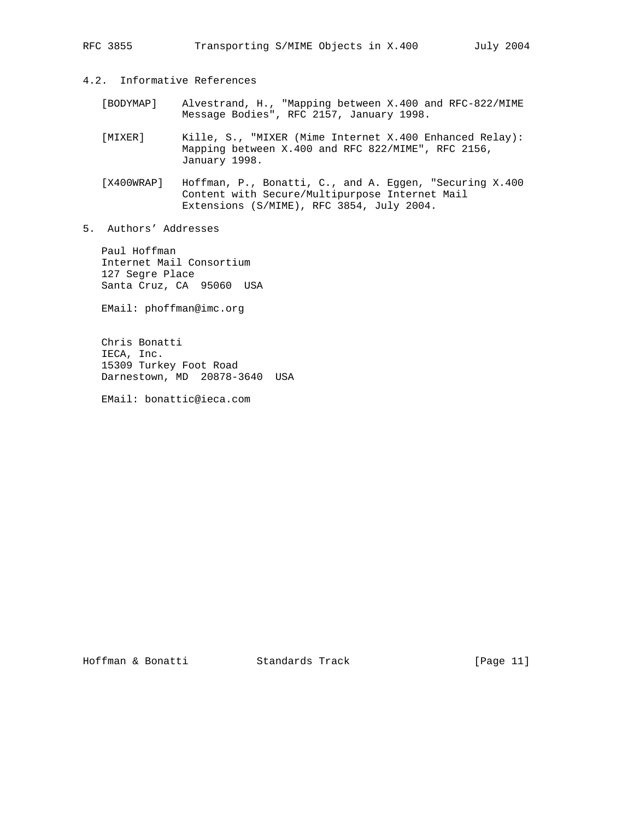- 4.2. Informative References
- [BODYMAP] Alvestrand, H., "Mapping between X.400 and RFC-822/MIME Message Bodies", RFC 2157, January 1998.
	- [MIXER] Kille, S., "MIXER (Mime Internet X.400 Enhanced Relay): Mapping between X.400 and RFC 822/MIME", RFC 2156, January 1998.
	- [X400WRAP] Hoffman, P., Bonatti, C., and A. Eggen, "Securing X.400 Content with Secure/Multipurpose Internet Mail Extensions (S/MIME), RFC 3854, July 2004.
- 5. Authors' Addresses

 Paul Hoffman Internet Mail Consortium 127 Segre Place Santa Cruz, CA 95060 USA

EMail: phoffman@imc.org

 Chris Bonatti IECA, Inc. 15309 Turkey Foot Road Darnestown, MD 20878-3640 USA

EMail: bonattic@ieca.com

Hoffman & Bonatti Standards Track [Page 11]